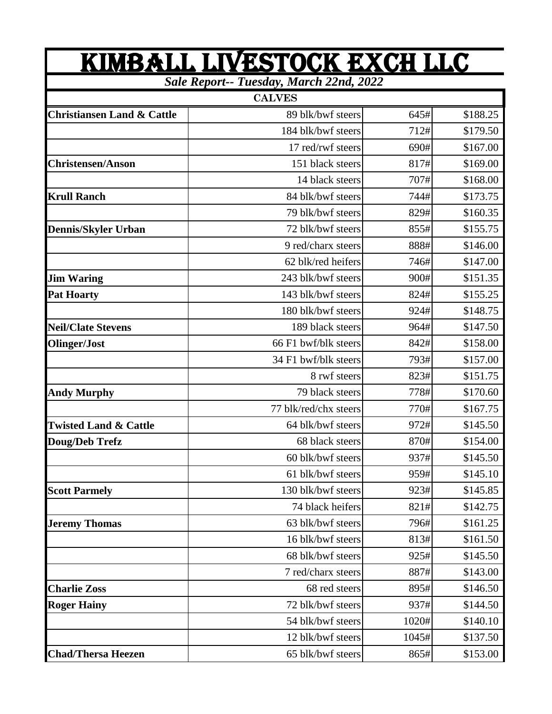| KIMBALL LIVESTOCK EXCH LLC<br>Sale Report-- Tuesday, March 22nd, 2022 |                       |       |          |  |
|-----------------------------------------------------------------------|-----------------------|-------|----------|--|
|                                                                       |                       |       |          |  |
| <b>Christiansen Land &amp; Cattle</b>                                 | 89 blk/bwf steers     | 645#  | \$188.25 |  |
|                                                                       | 184 blk/bwf steers    | 712#  | \$179.50 |  |
|                                                                       | 17 red/rwf steers     | 690#  | \$167.00 |  |
| <b>Christensen/Anson</b>                                              | 151 black steers      | 817#  | \$169.00 |  |
|                                                                       | 14 black steers       | 707#  | \$168.00 |  |
| <b>Krull Ranch</b>                                                    | 84 blk/bwf steers     | 744#  | \$173.75 |  |
|                                                                       | 79 blk/bwf steers     | 829#  | \$160.35 |  |
| <b>Dennis/Skyler Urban</b>                                            | 72 blk/bwf steers     | 855#  | \$155.75 |  |
|                                                                       | 9 red/charx steers    | 888#  | \$146.00 |  |
|                                                                       | 62 blk/red heifers    | 746#  | \$147.00 |  |
| <b>Jim Waring</b>                                                     | 243 blk/bwf steers    | 900#  | \$151.35 |  |
| <b>Pat Hoarty</b>                                                     | 143 blk/bwf steers    | 824#  | \$155.25 |  |
|                                                                       | 180 blk/bwf steers    | 924#  | \$148.75 |  |
| <b>Neil/Clate Stevens</b>                                             | 189 black steers      | 964#  | \$147.50 |  |
| Olinger/Jost                                                          | 66 F1 bwf/blk steers  | 842#  | \$158.00 |  |
|                                                                       | 34 F1 bwf/blk steers  | 793#  | \$157.00 |  |
|                                                                       | 8 rwf steers          | 823#  | \$151.75 |  |
| <b>Andy Murphy</b>                                                    | 79 black steers       | 778#  | \$170.60 |  |
|                                                                       | 77 blk/red/chx steers | 770#  | \$167.75 |  |
| <b>Twisted Land &amp; Cattle</b>                                      | 64 blk/bwf steers     | 972#  | \$145.50 |  |
| Doug/Deb Trefz                                                        | 68 black steers       | 870#  | \$154.00 |  |
|                                                                       | 60 blk/bwf steers     | 937#  | \$145.50 |  |
|                                                                       | 61 blk/bwf steers     | 959#  | \$145.10 |  |
| <b>Scott Parmely</b>                                                  | 130 blk/bwf steers    | 923#  | \$145.85 |  |
|                                                                       | 74 black heifers      | 821#  | \$142.75 |  |
| <b>Jeremy Thomas</b>                                                  | 63 blk/bwf steers     | 796#  | \$161.25 |  |
|                                                                       | 16 blk/bwf steers     | 813#  | \$161.50 |  |
|                                                                       | 68 blk/bwf steers     | 925#  | \$145.50 |  |
|                                                                       | 7 red/charx steers    | 887#  | \$143.00 |  |
| <b>Charlie Zoss</b>                                                   | 68 red steers         | 895#  | \$146.50 |  |
| <b>Roger Hainy</b>                                                    | 72 blk/bwf steers     | 937#  | \$144.50 |  |
|                                                                       | 54 blk/bwf steers     | 1020# | \$140.10 |  |
|                                                                       | 12 blk/bwf steers     | 1045# | \$137.50 |  |
| <b>Chad/Thersa Heezen</b>                                             | 65 blk/bwf steers     | 865#  | \$153.00 |  |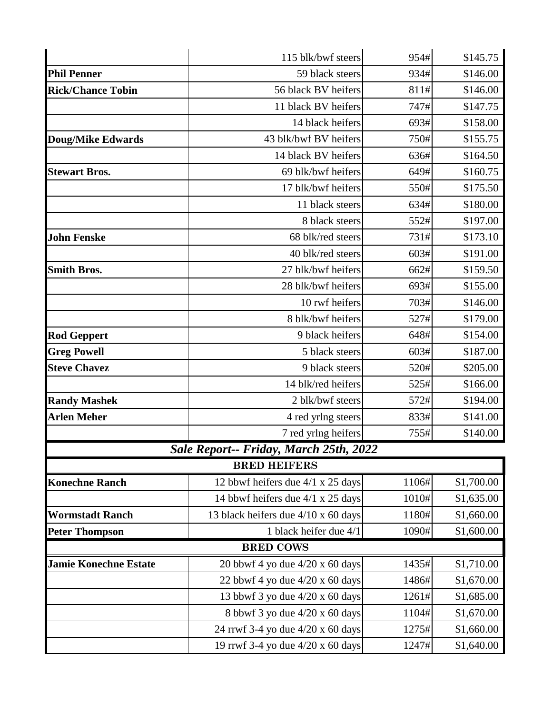|                              | 115 blk/bwf steers                     | 954#  | \$145.75   |
|------------------------------|----------------------------------------|-------|------------|
| <b>Phil Penner</b>           | 59 black steers                        | 934#  | \$146.00   |
| <b>Rick/Chance Tobin</b>     | 56 black BV heifers                    | 811#  | \$146.00   |
|                              | 11 black BV heifers                    | 747#  | \$147.75   |
|                              | 14 black heifers                       | 693#  | \$158.00   |
| <b>Doug/Mike Edwards</b>     | 43 blk/bwf BV heifers                  | 750#  | \$155.75   |
|                              | 14 black BV heifers                    | 636#  | \$164.50   |
| <b>Stewart Bros.</b>         | 69 blk/bwf heifers                     | 649#  | \$160.75   |
|                              | 17 blk/bwf heifers                     | 550#  | \$175.50   |
|                              | 11 black steers                        | 634#  | \$180.00   |
|                              | 8 black steers                         | 552#  | \$197.00   |
| <b>John Fenske</b>           | 68 blk/red steers                      | 731#  | \$173.10   |
|                              | 40 blk/red steers                      | 603#  | \$191.00   |
| <b>Smith Bros.</b>           | 27 blk/bwf heifers                     | 662#  | \$159.50   |
|                              | 28 blk/bwf heifers                     | 693#  | \$155.00   |
|                              | 10 rwf heifers                         | 703#  | \$146.00   |
|                              | 8 blk/bwf heifers                      | 527#  | \$179.00   |
| <b>Rod Geppert</b>           | 9 black heifers                        | 648#  | \$154.00   |
| <b>Greg Powell</b>           | 5 black steers                         | 603#  | \$187.00   |
| <b>Steve Chavez</b>          | 9 black steers                         | 520#  | \$205.00   |
|                              | 14 blk/red heifers                     | 525#  | \$166.00   |
| <b>Randy Mashek</b>          | 2 blk/bwf steers                       | 572#  | \$194.00   |
| <b>Arlen Meher</b>           | 4 red yrlng steers                     | 833#  | \$141.00   |
|                              | 7 red yrlng heifers                    | 755#  | \$140.00   |
|                              | Sale Report-- Friday, March 25th, 2022 |       |            |
|                              | <b>BRED HEIFERS</b>                    |       |            |
| <b>Konechne Ranch</b>        | 12 bbwf heifers due 4/1 x 25 days      | 1106# | \$1,700.00 |
|                              | 14 bbwf heifers due 4/1 x 25 days      | 1010# | \$1,635.00 |
| <b>Wormstadt Ranch</b>       | 13 black heifers due 4/10 x 60 days    | 1180# | \$1,660.00 |
| <b>Peter Thompson</b>        | 1 black heifer due 4/1                 | 1090# | \$1,600.00 |
|                              | <b>BRED COWS</b>                       |       |            |
| <b>Jamie Konechne Estate</b> | 20 bbwf 4 yo due $4/20 \times 60$ days | 1435# | \$1,710.00 |
|                              | 22 bbwf 4 yo due $4/20 \times 60$ days | 1486# | \$1,670.00 |
|                              | 13 bbwf 3 yo due 4/20 x 60 days        | 1261# | \$1,685.00 |
|                              | 8 bbwf 3 yo due 4/20 x 60 days         | 1104# | \$1,670.00 |
|                              | 24 rrwf 3-4 yo due 4/20 x 60 days      | 1275# | \$1,660.00 |
|                              | 19 rrwf 3-4 yo due 4/20 x 60 days      | 1247# | \$1,640.00 |